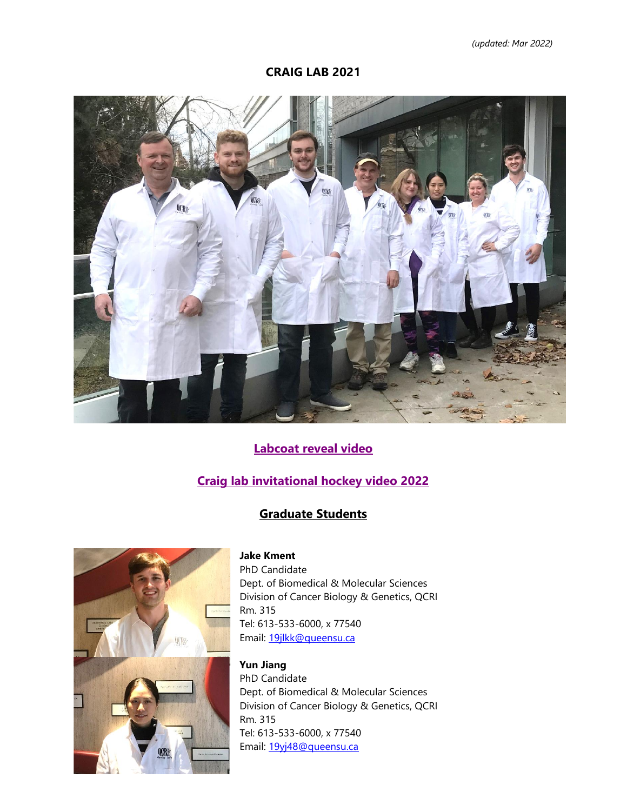**CRAIG LAB 2021**



# **[Labcoat reveal video](https://stream.queensu.ca/Watch/z8QLm27B)**

# **[Craig lab invitational hockey video 2022](https://stream.queensu.ca/Watch/Ct3a6J2L)**

### **Graduate Students**



#### **Jake Kment**

PhD Candidate Dept. of Biomedical & Molecular Sciences Division of Cancer Biology & Genetics, QCRI Rm. 315 Tel: 613-533-6000, x 77540 Email: [19jlkk@queensu.ca](mailto:19jlkk@queensu.ca)

**Yun Jiang** PhD Candidate Dept. of Biomedical & Molecular Sciences Division of Cancer Biology & Genetics, QCRI Rm. 315 Tel: 613-533-6000, x 77540 Email: [19yj48@queensu.ca](mailto:19yj48@queensu.ca)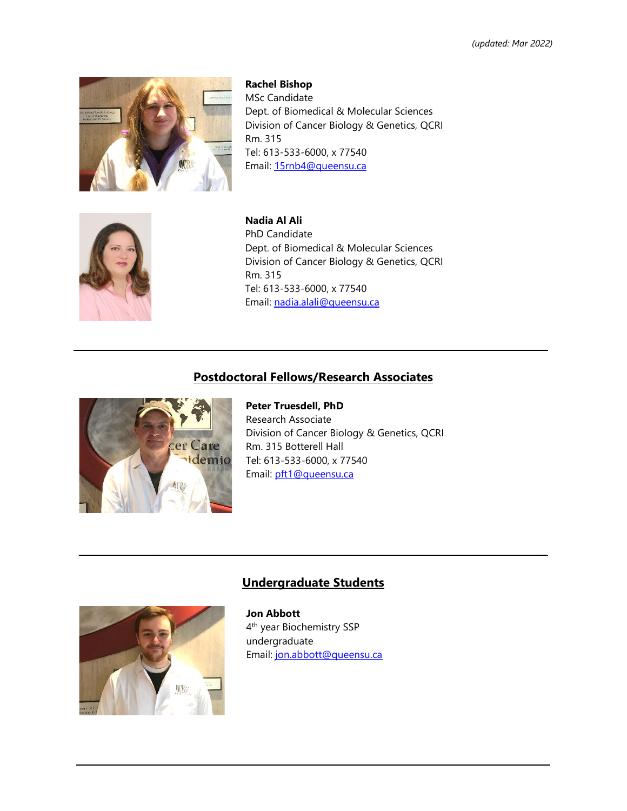

**Rachel Bishop** MSc Candidate Dept. of Biomedical & Molecular Sciences Division of Cancer Biology & Genetics, QCRI Rm. 315 Tel: 613-533-6000, x 77540 Email: [15rnb4@queensu.ca](mailto:15rnb4@queensu.ca)



**Nadia Al Ali** PhD Candidate Dept. of Biomedical & Molecular Sciences Division of Cancer Biology & Genetics, QCRI Rm. 315 Tel: 613-533-6000, x 77540 Email: [nadia.alali@queensu.ca](mailto:nadia.alali@queensu.ca)

#### **Postdoctoral Fellows/Research Associates**

**\_\_\_\_\_\_\_\_\_\_\_\_\_\_\_\_\_\_\_\_\_\_\_\_\_\_\_\_\_\_\_\_\_\_\_\_\_\_\_\_\_\_\_\_\_\_\_\_\_\_\_\_\_\_\_\_\_\_\_\_\_\_\_\_\_\_\_\_\_\_\_\_\_\_\_\_\_\_\_\_\_\_\_\_\_\_\_\_\_\_\_\_\_**



**Peter Truesdell, PhD** Research Associate Division of Cancer Biology & Genetics, QCRI Rm. 315 Botterell Hall Tel: 613-533-6000, x 77540 Email: [pft1@queensu.ca](mailto:pft1@queensu.ca)

# **Undergraduate Students**

 $\mathcal{L}_\mathcal{L} = \{ \mathcal{L}_\mathcal{L} = \{ \mathcal{L}_\mathcal{L} = \{ \mathcal{L}_\mathcal{L} = \{ \mathcal{L}_\mathcal{L} = \{ \mathcal{L}_\mathcal{L} = \{ \mathcal{L}_\mathcal{L} = \{ \mathcal{L}_\mathcal{L} = \{ \mathcal{L}_\mathcal{L} = \{ \mathcal{L}_\mathcal{L} = \{ \mathcal{L}_\mathcal{L} = \{ \mathcal{L}_\mathcal{L} = \{ \mathcal{L}_\mathcal{L} = \{ \mathcal{L}_\mathcal{L} = \{ \mathcal{L}_\mathcal{$ 



**Jon Abbott** 4 th year Biochemistry SSP undergraduate Email: [jon.abbott@queensu.ca](mailto:jon.abbott@queensu.ca)

**\_\_\_\_\_\_\_\_\_\_\_\_\_\_\_\_\_\_\_\_\_\_\_\_\_\_\_\_\_\_\_\_\_\_\_\_\_\_\_\_\_\_\_\_\_\_\_\_\_\_\_\_\_\_\_\_\_\_\_\_\_\_\_\_\_\_\_\_\_\_\_\_\_\_\_\_\_\_\_\_\_\_\_\_\_\_\_\_\_\_\_\_\_**